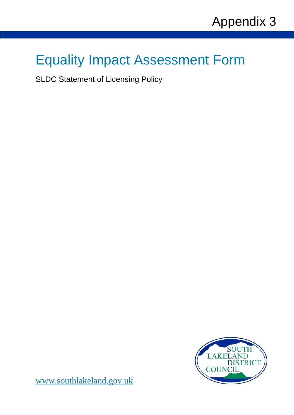# Equality Impact Assessment Form

SLDC Statement of Licensing Policy



[www.southlakeland.gov.uk](http://www.southlakeland.gov.uk/)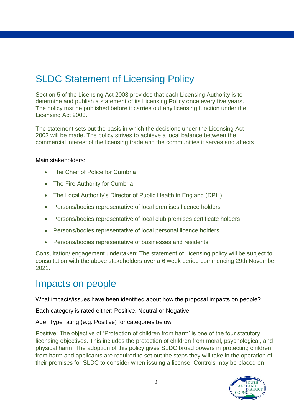# SLDC Statement of Licensing Policy

Section 5 of the Licensing Act 2003 provides that each Licensing Authority is to determine and publish a statement of its Licensing Policy once every five years. The policy mst be published before it carries out any licensing function under the Licensing Act 2003.

The statement sets out the basis in which the decisions under the Licensing Act 2003 will be made. The policy strives to achieve a local balance between the commercial interest of the licensing trade and the communities it serves and affects

#### Main stakeholders:

- The Chief of Police for Cumbria
- The Fire Authority for Cumbria
- The Local Authority's Director of Public Health in England (DPH)
- Persons/bodies representative of local premises licence holders
- Persons/bodies representative of local club premises certificate holders
- Persons/bodies representative of local personal licence holders
- Persons/bodies representative of businesses and residents

Consultation/ engagement undertaken: The statement of Licensing policy will be subject to consultation with the above stakeholders over a 6 week period commencing 29th November 2021.

#### Impacts on people

What impacts/issues have been identified about how the proposal impacts on people?

Each category is rated either: Positive, Neutral or Negative

Age: Type rating (e.g. Positive) for categories below

Positive; The objective of 'Protection of children from harm' is one of the four statutory licensing objectives. This includes the protection of children from moral, psychological, and physical harm. The adoption of this policy gives SLDC broad powers in protecting children from harm and applicants are required to set out the steps they will take in the operation of their premises for SLDC to consider when issuing a license. Controls may be placed on

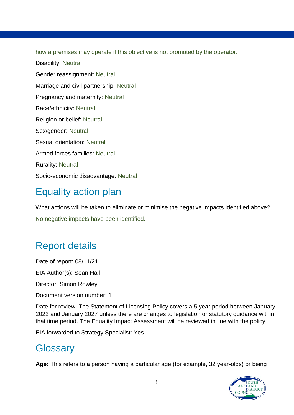how a premises may operate if this objective is not promoted by the operator.

Disability: Neutral Gender reassignment: Neutral Marriage and civil partnership: Neutral Pregnancy and maternity: Neutral Race/ethnicity: Neutral Religion or belief: Neutral Sex/gender: Neutral Sexual orientation: Neutral Armed forces families: Neutral Rurality: Neutral Socio-economic disadvantage: Neutral

# Equality action plan

What actions will be taken to eliminate or minimise the negative impacts identified above? No negative impacts have been identified.

# Report details

Date of report: 08/11/21 EIA Author(s): Sean Hall Director: Simon Rowley

Document version number: 1

Date for review: The Statement of Licensing Policy covers a 5 year period between January 2022 and January 2027 unless there are changes to legislation or statutory guidance within that time period. The Equality Impact Assessment will be reviewed in line with the policy.

EIA forwarded to Strategy Specialist: Yes

### **Glossary**

**Age:** This refers to a person having a particular age (for example, 32 year-olds) or being

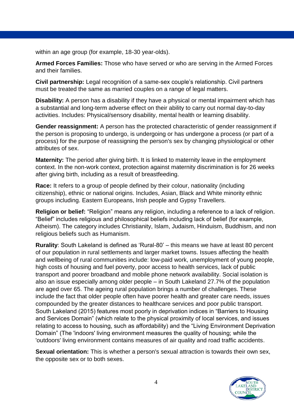within an age group (for example, 18-30 year-olds).

**Armed Forces Families:** Those who have served or who are serving in the Armed Forces and their families.

**Civil partnership:** Legal recognition of a same-sex couple's relationship. Civil partners must be treated the same as married couples on a range of legal matters.

**Disability:** A person has a disability if they have a physical or mental impairment which has a substantial and long-term adverse effect on their ability to carry out normal day-to-day activities. Includes: Physical/sensory disability, mental health or learning disability.

**Gender reassignment:** A person has the protected characteristic of gender reassignment if the person is proposing to undergo, is undergoing or has undergone a process (or part of a process) for the purpose of reassigning the person's sex by changing physiological or other attributes of sex.

**Maternity:** The period after giving birth. It is linked to maternity leave in the employment context. In the non-work context, protection against maternity discrimination is for 26 weeks after giving birth, including as a result of breastfeeding.

**Race:** It refers to a group of people defined by their colour, nationality (including citizenship), ethnic or national origins. Includes, Asian, Black and White minority ethnic groups including. Eastern Europeans, Irish people and Gypsy Travellers.

**Religion or belief:** "Religion" means any religion, including a reference to a lack of religion. "Belief" includes religious and philosophical beliefs including lack of belief (for example, Atheism). The category includes Christianity, Islam, Judaism, Hinduism, Buddhism, and non religious beliefs such as Humanism.

**Rurality**: South Lakeland is defined as 'Rural-80' – this means we have at least 80 percent of our population in rural settlements and larger market towns. Issues affecting the health and wellbeing of rural communities include: low-paid work, unemployment of young people, high costs of housing and fuel poverty, poor access to health services, lack of public transport and poorer broadband and mobile phone network availability. Social isolation is also an issue especially among older people – in South Lakeland 27.7% of the population are aged over 65. The ageing rural population brings a number of challenges. These include the fact that older people often have poorer health and greater care needs, issues compounded by the greater distances to healthcare services and poor public transport. South Lakeland (2015) features most poorly in deprivation indices in "Barriers to Housing and Services Domain" (which relate to the physical proximity of local services, and issues relating to access to housing, such as affordability) and the "Living Environment Deprivation Domain" (The 'indoors' living environment measures the quality of housing; while the 'outdoors' living environment contains measures of air quality and road traffic accidents.

**Sexual orientation:** This is whether a person's sexual attraction is towards their own sex, the opposite sex or to both sexes.